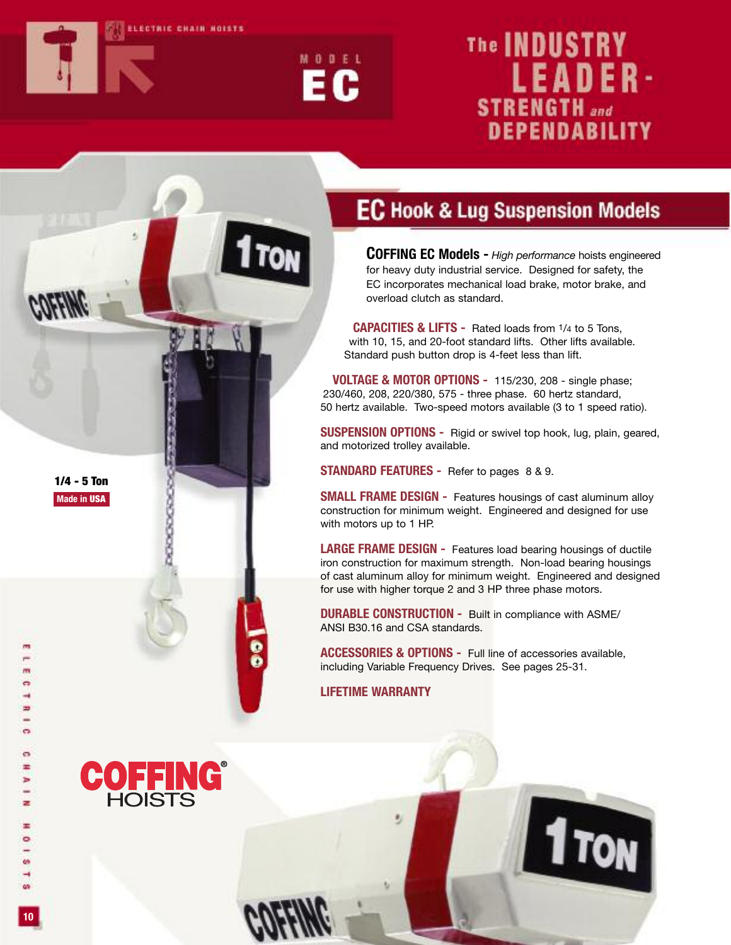



# The **INDUSTRY LEADER-STRENGTH** and **DEPENDABILITY**

### **EC Hook & Lug Suspension Models**

**COFFING EC Models -** *High performance* hoists engineered for heavy duty industrial service. Designed for safety, the EC incorporates mechanical load brake, motor brake, and overload clutch as standard.

**CAPACITIES & LIFTS -** Rated loads from 1/4 to 5 Tons, with 10, 15, and 20-foot standard lifts. Other lifts available. Standard push button drop is 4-feet less than lift.

**VOLTAGE & MOTOR OPTIONS -** 115/230, 208 - single phase; 230/460, 208, 220/380, 575 - three phase. 60 hertz standard, 50 hertz available. Two-speed motors available (3 to 1 speed ratio).

**SUSPENSION OPTIONS -** Rigid or swivel top hook, lug, plain, geared, and motorized trolley available.

**STANDARD FEATURES -** Refer to pages 8 & 9.

**SMALL FRAME DESIGN -** Features housings of cast aluminum alloy construction for minimum weight. Engineered and designed for use with motors up to 1 HP.

**LARGE FRAME DESIGN -** Features load bearing housings of ductile iron construction for maximum strength. Non-load bearing housings of cast aluminum alloy for minimum weight. Engineered and designed for use with higher torque 2 and 3 HP three phase motors.

**1** TON

**DURABLE CONSTRUCTION -** Built in compliance with ASME/ ANSI B30.16 and CSA standards.

**ACCESSORIES & OPTIONS -** Full line of accessories available, including Variable Frequency Drives. See pages 25-31.

**LIFETIME WARRANTY**

 $\bullet$ 

PERPENDENCI

**10**

**1/4 - 5 Ton Made in USA**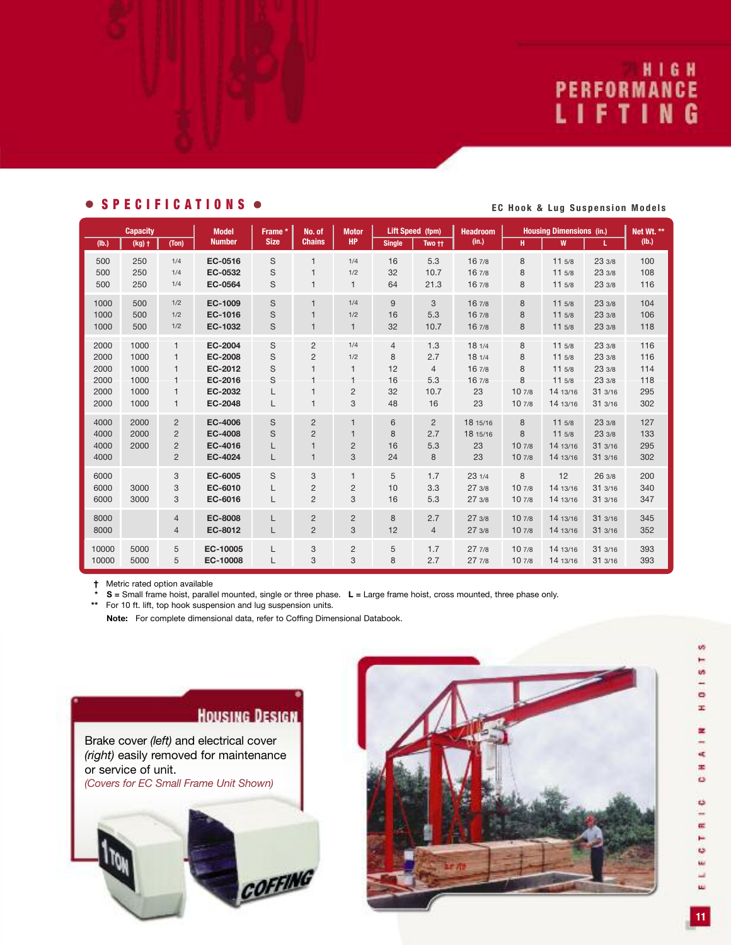# PERFORMANCE<br>LIFTING

#### • SPECIFICATIONS • EC Hook & Lug Suspension Models

| <b>Capacity</b>              |                      |                                                                      | <b>Model</b>                                    | Frame *          | No. of                                                           | <b>Motor</b>                             | Lift Speed (fpm)   |                      | <b>Headroom</b>                  | <b>Housing Dimensions (in.)</b> |                                        |                                    | Net Wt. **               |
|------------------------------|----------------------|----------------------------------------------------------------------|-------------------------------------------------|------------------|------------------------------------------------------------------|------------------------------------------|--------------------|----------------------|----------------------------------|---------------------------------|----------------------------------------|------------------------------------|--------------------------|
| (Ib.)                        | $(kg)$ †             | (Ton)                                                                | <b>Number</b>                                   | <b>Size</b>      | <b>Chains</b>                                                    | <b>HP</b>                                | <b>Single</b>      | Two ++               | (in.)                            | H.                              | W                                      | L                                  | (lb.)                    |
| 500                          | 250                  | 1/4                                                                  | EC-0516                                         | S                | $\mathbf{1}$                                                     | 1/4                                      | 16                 | 5.3                  | 167/8                            | 8                               | 115/8                                  | 23 3/8                             | 100                      |
| 500                          | 250                  | 1/4                                                                  | EC-0532                                         | S                | $\mathbf{1}$                                                     | 1/2                                      | 32                 | 10.7                 | 167/8                            | 8                               | 115/8                                  | 23 3/8                             | 108                      |
| 500                          | 250                  | 1/4                                                                  | EC-0564                                         | $\mathbf S$      | $\mathbf{1}$                                                     | $\mathbf{1}$                             | 64                 | 21.3                 | 16 7/8                           | 8                               | 115/8                                  | 23 3/8                             | 116                      |
| 1000                         | 500                  | 1/2                                                                  | EC-1009                                         | S                | $\mathbf{1}$                                                     | 1/4                                      | 9                  | 3                    | 167/8                            | 8                               | 115/8                                  | 23 3/8                             | 104                      |
| 1000                         | 500                  | 1/2                                                                  | EC-1016                                         | S                | $\mathbf{1}$                                                     | 1/2                                      | 16                 | 5.3                  | 16 7/8                           | 8                               | 115/8                                  | 233/8                              | 106                      |
| 1000                         | 500                  | 1/2                                                                  | EC-1032                                         | S                | $\mathbf{1}$                                                     | $\mathbf{1}$                             | 32                 | 10.7                 | 16 7/8                           | 8                               | 115/8                                  | 23 3/8                             | 118                      |
| 2000                         | 1000                 | $\mathbf{1}$                                                         | EC-2004                                         | S                | $\overline{2}$                                                   | 1/4                                      | $\overline{4}$     | 1.3                  | 181/4                            | 8                               | 115/8                                  | 23 3/8                             | 116                      |
| 2000                         | 1000                 | 1                                                                    | EC-2008                                         | S                | $\overline{2}$                                                   | 1/2                                      | 8                  | 2.7                  | 181/4                            | 8                               | 115/8                                  | 233/8                              | 116                      |
| 2000                         | 1000                 | $\mathbf{1}$                                                         | EC-2012                                         | S                | $\mathbf{1}$                                                     | 1                                        | 12                 | $\overline{4}$       | 16 7/8                           | 8                               | 115/8                                  | 23 3/8                             | 114                      |
| 2000                         | 1000                 | 1                                                                    | EC-2016                                         | S                | $\mathbf{1}$                                                     | 1                                        | 16                 | 5.3                  | 16 7/8                           | 8                               | 115/8                                  | 23 3/8                             | 118                      |
| 2000                         | 1000                 | 1                                                                    | EC-2032                                         | L                | $\mathbf{1}$                                                     | $\overline{2}$                           | 32                 | 10.7                 | 23                               | 107/8                           | 14 13/16                               | 313/16                             | 295                      |
| 2000                         | 1000                 | 1                                                                    | EC-2048                                         | L                | $\mathbf{1}$                                                     | 3                                        | 48                 | 16                   | 23                               | 107/8                           | 14 13/16                               | 313/16                             | 302                      |
| 4000<br>4000<br>4000<br>4000 | 2000<br>2000<br>2000 | $\overline{2}$<br>$\overline{2}$<br>$\overline{2}$<br>$\overline{2}$ | EC-4006<br><b>EC-4008</b><br>EC-4016<br>EC-4024 | S<br>S<br>L<br>L | $\overline{2}$<br>$\overline{2}$<br>$\mathbf{1}$<br>$\mathbf{1}$ | $\mathbf{1}$<br>1<br>$\overline{2}$<br>3 | 6<br>8<br>16<br>24 | 2<br>2.7<br>5.3<br>8 | 18 15/16<br>18 15/16<br>23<br>23 | 8<br>8<br>107/8<br>107/8        | 115/8<br>115/8<br>14 13/16<br>14 13/16 | 233/8<br>233/8<br>313/16<br>313/16 | 127<br>133<br>295<br>302 |
| 6000<br>6000<br>6000         | 3000<br>3000         | 3<br>3<br>3                                                          | EC-6005<br>EC-6010<br>EC-6016                   | S<br>L<br>L      | 3<br>$\overline{c}$<br>2                                         | $\mathbf{1}$<br>$\overline{2}$<br>3      | 5<br>10<br>16      | 1.7<br>3.3<br>5.3    | 231/4<br>273/8<br>273/8          | 8<br>107/8<br>107/8             | 12<br>14 13/16<br>14 13/16             | 263/8<br>313/16<br>313/16          | 200<br>340<br>347        |
| 8000                         |                      | 4                                                                    | EC-8008                                         | L                | $\overline{2}$                                                   | $\overline{2}$                           | 8                  | 2.7                  | 273/8                            | 107/8                           | 14 13/16                               | 31 3/16                            | 345                      |
| 8000                         |                      | 4                                                                    | EC-8012                                         | L                | $\overline{2}$                                                   | 3                                        | 12                 | $\overline{4}$       | 273/8                            | 107/8                           | 14 13/16                               | 313/16                             | 352                      |
| 10000                        | 5000                 | 5                                                                    | EC-10005                                        | L                | 3                                                                | $\overline{2}$                           | 5                  | 1.7                  | 277/8                            | 107/8                           | 14 13/16                               | 313/16                             | 393                      |
| 10000                        | 5000                 | 5                                                                    | EC-10008                                        | L                | 3                                                                | 3                                        | 8                  | 2.7                  | 277/8                            | 107/8                           | 14 13/16                               | 313/16                             | 393                      |

**†** Metric rated option available

**\* S =** Small frame hoist, parallel mounted, single or three phase. **L =** Large frame hoist, cross mounted, three phase only.

**\*\*** For 10 ft. lift, top hook suspension and lug suspension units.

**Note:** For complete dimensional data, refer to Coffing Dimensional Databook.



COFFING

Brake cover *(left)* and electrical cover *(right)* easily removed for maintenance or service of unit.

*(Covers for EC Small Frame Unit Shown)*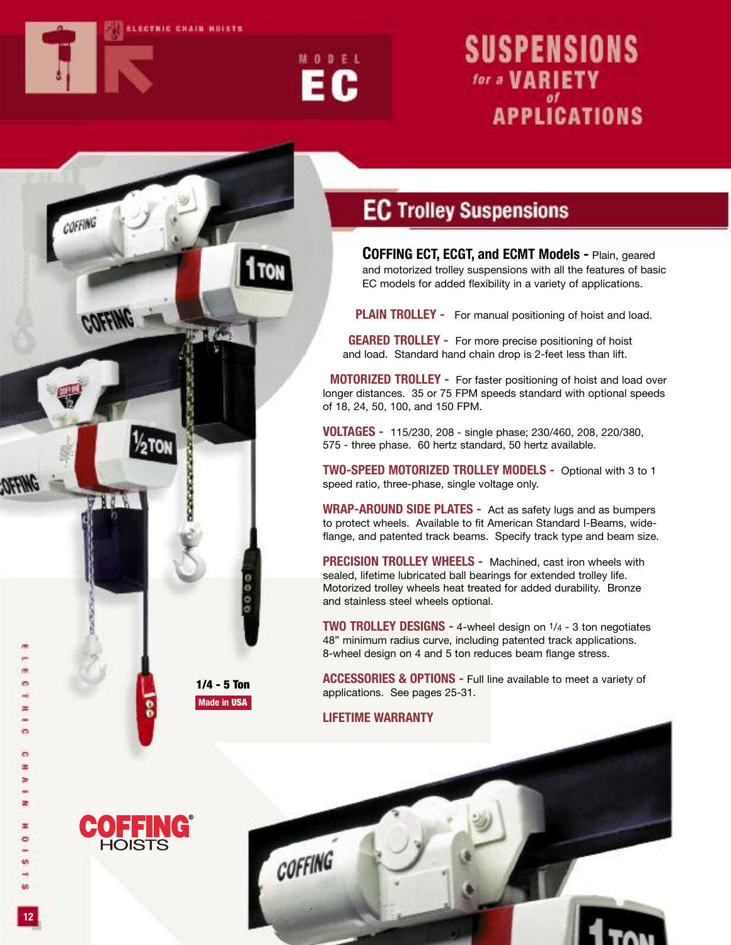

COFFING

 $\%$ ton



# **SUSPENSIONS** for a **VARIETY APPLICATIONS**

## **EC Trolley Suspensions**

**COFFING ECT, ECGT, and ECMT Models -** Plain, geared and motorized trolley suspensions with all the features of basic EC models for added flexibility in a variety of applications.

**PLAIN TROLLEY -** For manual positioning of hoist and load.

**GEARED TROLLEY -** For more precise positioning of hoist and load. Standard hand chain drop is 2-feet less than lift.

**MOTORIZED TROLLEY -** For faster positioning of hoist and load over longer distances. 35 or 75 FPM speeds standard with optional speeds of 18, 24, 50, 100, and 150 FPM.

**VOLTAGES -** 115/230, 208 - single phase; 230/460, 208, 220/380, 575 - three phase. 60 hertz standard, 50 hertz available.

**TWO-SPEED MOTORIZED TROLLEY MODELS -** Optional with 3 to 1 speed ratio, three-phase, single voltage only.

**WRAP-AROUND SIDE PLATES -** Act as safety lugs and as bumpers to protect wheels. Available to fit American Standard I-Beams, wideflange, and patented track beams. Specify track type and beam size.

**PRECISION TROLLEY WHEELS -** Machined, cast iron wheels with sealed, lifetime lubricated ball bearings for extended trolley life. Motorized trolley wheels heat treated for added durability. Bronze and stainless steel wheels optional.

**TWO TROLLEY DESIGNS -** 4-wheel design on 1/4 - 3 ton negotiates 48" minimum radius curve, including patented track applications. 8-wheel design on 4 and 5 ton reduces beam flange stress.

**ACCESSORIES & OPTIONS -** Full line available to meet a variety of applications. See pages 25-31.

#### **LIFETIME WARRANTY**

COFFING



**1/4 - 5 Ton Made in USA**

0000